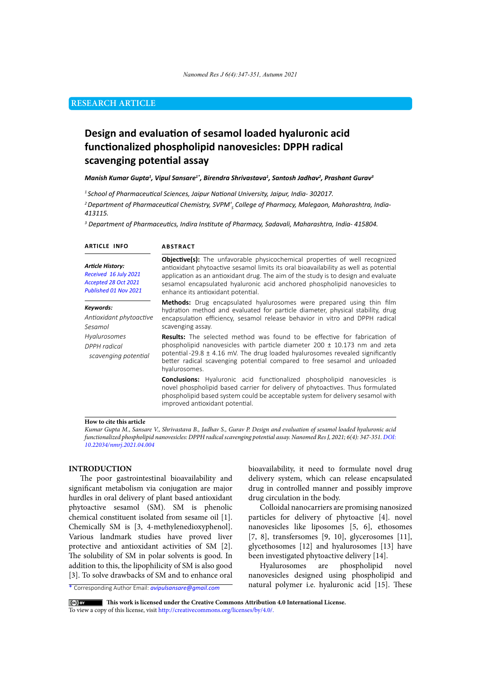# **RESEARCH ARTICLE**

# **Design and evaluation of sesamol loaded hyaluronic acid functionalized phospholipid nanovesicles: DPPH radical scavenging potential assay**

#### *Manish Kumar Gupta1 , Vipul Sansare1\*, Birendra Shrivastava1 , Santosh Jadhav2 , Prashant Gurav3*

*<sup>1</sup>School of Pharmaceutical Sciences, Jaipur National University, Jaipur, India- 302017.* 

*2 Department of Pharmaceutical Chemistry, SVPM'<sup>S</sup> College of Pharmacy, Malegaon, Maharashtra, India-413115.* 

*3 Department of Pharmaceutics, Indira Institute of Pharmacy, Sadavali, Maharashtra, India- 415804.* 

#### **ARTICLE INFO ABSTRACT**

*Article History: Received 16 July 2021 Accepted 28 Oct 2021 Published 01 Nov 2021*

*Antioxidant phytoactive*

*scavenging potential*

*Keywords:*

*Sesamol Hyalurosomes DPPH radical* 

**Objective(s):** The unfavorable physicochemical properties of well recognized antioxidant phytoactive sesamol limits its oral bioavailability as well as potential application as an antioxidant drug. The aim of the study is to design and evaluate sesamol encapsulated hyaluronic acid anchored phospholipid nanovesicles to enhance its antioxidant potential. **Methods:** Drug encapsulated hyalurosomes were prepared using thin film

hydration method and evaluated for particle diameter, physical stability, drug encapsulation efficiency, sesamol release behavior in vitro and DPPH radical scavenging assay.

**Results:** The selected method was found to be effective for fabrication of phospholipid nanovesicles with particle diameter 200 ± 10.173 nm and zeta potential -29.8  $\pm$  4.16 mV. The drug loaded hyalurosomes revealed significantly better radical scavenging potential compared to free sesamol and unloaded hyalurosomes.

**Conclusions:** Hyaluronic acid functionalized phospholipid nanovesicles is novel phospholipid based carrier for delivery of phytoactives. Thus formulated phospholipid based system could be acceptable system for delivery sesamol with improved antioxidant potential.

### **How to cite this article**

*Kumar Gupta M., Sansare V., Shrivastava B., Jadhav S., Gurav P. Design and evaluation of sesamol loaded hyaluronic acid functionalized phospholipid nanovesicles: DPPH radical scavenging potential assay. Nanomed Res J, 2021; 6(4): 347-351. DOI: 10.22034/nmrj.2021.04.004*

#### **INTRODUCTION**

The poor gastrointestinal bioavailability and significant metabolism via conjugation are major hurdles in oral delivery of plant based antioxidant phytoactive sesamol (SM). SM is phenolic chemical constituent isolated from sesame oil [1]. Chemically SM is [3, 4-methylenedioxyphenol]. Various landmark studies have proved liver protective and antioxidant activities of SM [2]. The solubility of SM in polar solvents is good. In addition to this, the lipophilicity of SM is also good [3]. To solve drawbacks of SM and to enhance oral

\* Corresponding Author Email: *avipulsansare@gmail.com*

bioavailability, it need to formulate novel drug delivery system, which can release encapsulated drug in controlled manner and possibly improve drug circulation in the body.

Colloidal nanocarriers are promising nanosized particles for delivery of phytoactive [4]. novel nanovesicles like liposomes [5, 6], ethosomes [7, 8], transfersomes [9, 10], glycerosomes [11], glycethosomes [12] and hyalurosomes [13] have been investigated phytoactive delivery [14].

Hyalurosomes are phospholipid novel nanovesicles designed using phospholipid and natural polymer i.e. hyaluronic acid [15]. These

 **This work is licensed under the Creative Commons Attribution 4.0 International License.**

To view a copy of this license, visit<http://creativecommons.org/licenses/by/4.0/.>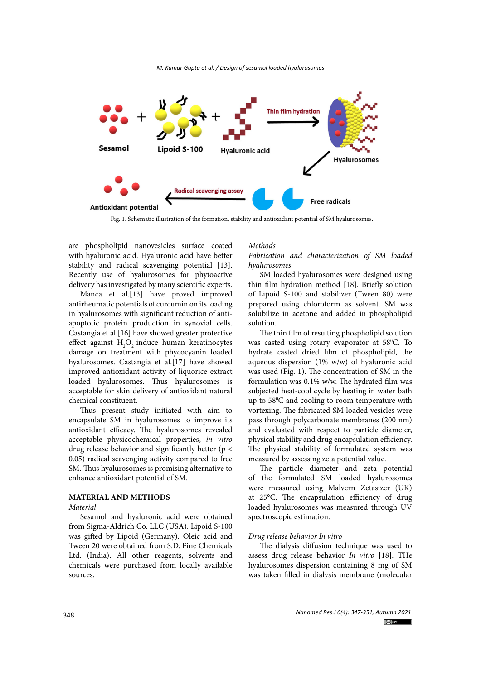*M. Kumar Gupta et al. / Design of sesamol loaded hyalurosomes*



Fig. 1. Schematic illustration of the formation, stability and antioxidant potential of SM hyalurosomes.

are phospholipid nanovesicles surface coated with hyaluronic acid. Hyaluronic acid have better stability and radical scavenging potential [13]. Recently use of hyalurosomes for phytoactive delivery has investigated by many scientific experts.

Manca et al.[13] have proved improved antirheumatic potentials of curcumin on its loading in hyalurosomes with significant reduction of antiapoptotic protein production in synovial cells. Castangia et al.[16] have showed greater protective effect against  $H_2O_2$  induce human keratinocytes damage on treatment with phycocyanin loaded hyalurosomes. Castangia et al.[17] have showed improved antioxidant activity of liquorice extract loaded hyalurosomes. Thus hyalurosomes is acceptable for skin delivery of antioxidant natural chemical constituent.

Thus present study initiated with aim to encapsulate SM in hyalurosomes to improve its antioxidant efficacy. The hyalurosomes revealed acceptable physicochemical properties, *in vitro* drug release behavior and significantly better (p < 0.05) radical scavenging activity compared to free SM. Thus hyalurosomes is promising alternative to enhance antioxidant potential of SM.

# **MATERIAL AND METHODS**

# *Material*

Sesamol and hyaluronic acid were obtained from Sigma-Aldrich Co. LLC (USA). Lipoid S-100 was gifted by Lipoid (Germany). Oleic acid and Tween 20 were obtained from S.D. Fine Chemicals Ltd. (India). All other reagents, solvents and chemicals were purchased from locally available sources.

#### *Methods*

*Fabrication and characterization of SM loaded hyalurosomes*

SM loaded hyalurosomes were designed using thin film hydration method [18]. Briefly solution of Lipoid S-100 and stabilizer (Tween 80) were prepared using chloroform as solvent. SM was solubilize in acetone and added in phospholipid solution.

The thin film of resulting phospholipid solution was casted using rotary evaporator at 58°C. To hydrate casted dried film of phospholipid, the aqueous dispersion (1% w/w) of hyaluronic acid was used (Fig. 1). The concentration of SM in the formulation was 0.1% w/w. The hydrated film was subjected heat-cool cycle by heating in water bath up to 58°C and cooling to room temperature with vortexing. The fabricated SM loaded vesicles were pass through polycarbonate membranes (200 nm) and evaluated with respect to particle diameter, physical stability and drug encapsulation efficiency. The physical stability of formulated system was measured by assessing zeta potential value.

The particle diameter and zeta potential of the formulated SM loaded hyalurosomes were measured using Malvern Zetasizer (UK) at 25°C. The encapsulation efficiency of drug loaded hyalurosomes was measured through UV spectroscopic estimation.

# *Drug release behavior In vitro*

The dialysis diffusion technique was used to assess drug release behavior *In vitro* [18]. THe hyalurosomes dispersion containing 8 mg of SM was taken filled in dialysis membrane (molecular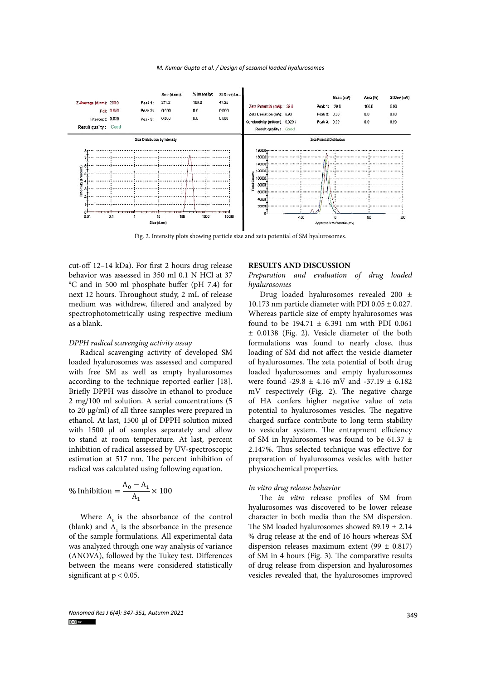



Fig. 2. Intensity plots showing particle size and zeta potential of SM hyalurosomes.

cut-off 12–14 kDa). For first 2 hours drug release behavior was assessed in 350 ml 0.1 N HCl at 37 °C and in 500 ml phosphate buffer (pH 7.4) for next 12 hours. Throughout study, 2 mL of release medium was withdrew, filtered and analyzed by spectrophotometrically using respective medium as a blank.

#### *DPPH radical scavenging activity assay*

Radical scavenging activity of developed SM loaded hyalurosomes was assessed and compared with free SM as well as empty hyalurosomes according to the technique reported earlier [18]. Briefly DPPH was dissolve in ethanol to produce 2 mg/100 ml solution. A serial concentrations (5 to 20 µg/ml) of all three samples were prepared in ethanol. At last, 1500 μl of DPPH solution mixed with 1500 ul of samples separately and allow to stand at room temperature. At last, percent inhibition of radical assessed by UV-spectroscopic estimation at 517 nm. The percent inhibition of radical was calculated using following equation.

% Inhibition = 
$$
\frac{A_0 - A_1}{A_1} \times 100
$$

Where  $A<sub>o</sub>$  is the absorbance of the control (blank) and  $A_1$  is the absorbance in the presence of the sample formulations. All experimental data was analyzed through one way analysis of variance (ANOVA), followed by the Tukey test. Differences between the means were considered statistically significant at  $p < 0.05$ .

### **RESULTS AND DISCUSSION**

*Preparation and evaluation of drug loaded hyalurosomes*

Drug loaded hyalurosomes revealed 200 ± 10.173 nm particle diameter with PDI  $0.05 \pm 0.027$ . Whereas particle size of empty hyalurosomes was found to be  $194.71 \pm 6.391$  nm with PDI 0.061 ± 0.0138 (Fig. 2). Vesicle diameter of the both formulations was found to nearly close, thus loading of SM did not affect the vesicle diameter of hyalurosomes. The zeta potential of both drug loaded hyalurosomes and empty hyalurosomes were found -29.8 ± 4.16 mV and -37.19 ± 6.182 mV respectively (Fig. 2). The negative charge of HA confers higher negative value of zeta potential to hyalurosomes vesicles. The negative charged surface contribute to long term stability to vesicular system. The entrapment efficiency of SM in hyalurosomes was found to be 61.37  $\pm$ 2.147%. Thus selected technique was effective for preparation of hyalurosomes vesicles with better physicochemical properties.

#### *In vitro drug release behavior*

The *in vitro* release profiles of SM from hyalurosomes was discovered to be lower release character in both media than the SM dispersion. The SM loaded hyalurosomes showed 89.19 ± 2.14 % drug release at the end of 16 hours whereas SM dispersion releases maximum extent  $(99 \pm 0.817)$ of SM in 4 hours (Fig. 3). The comparative results of drug release from dispersion and hyalurosomes vesicles revealed that, the hyalurosomes improved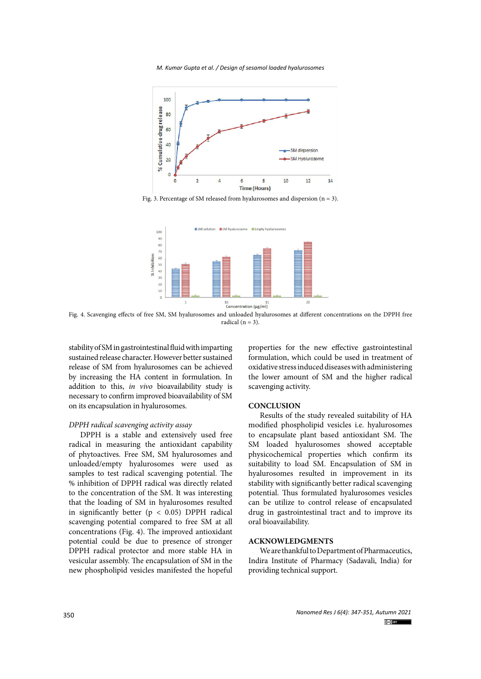*M. Kumar Gupta et al. / Design of sesamol loaded hyalurosomes*



Fig. 3. Percentage of SM released from hyalurosomes and dispersion ( $n = 3$ ).



Fig. 4. Scavenging effects of free SM, SM hyalurosomes and unloaded hyalurosomes at different concentrations on the DPPH free radical  $(n = 3)$ .

stability of SM in gastrointestinal fluid with imparting sustained release character. However better sustained release of SM from hyalurosomes can be achieved by increasing the HA content in formulation. In addition to this, *in vivo* bioavailability study is necessary to confirm improved bioavailability of SM on its encapsulation in hyalurosomes.

#### *DPPH radical scavenging activity assay*

DPPH is a stable and extensively used free radical in measuring the antioxidant capability of phytoactives. Free SM, SM hyalurosomes and unloaded/empty hyalurosomes were used as samples to test radical scavenging potential. The % inhibition of DPPH radical was directly related to the concentration of the SM. It was interesting that the loading of SM in hyalurosomes resulted in significantly better ( $p < 0.05$ ) DPPH radical scavenging potential compared to free SM at all concentrations (Fig. 4). The improved antioxidant potential could be due to presence of stronger DPPH radical protector and more stable HA in vesicular assembly. The encapsulation of SM in the new phospholipid vesicles manifested the hopeful

properties for the new effective gastrointestinal formulation, which could be used in treatment of oxidative stress induced diseases with administering the lower amount of SM and the higher radical scavenging activity.

### **CONCLUSION**

Results of the study revealed suitability of HA modified phospholipid vesicles i.e. hyalurosomes to encapsulate plant based antioxidant SM. The SM loaded hyalurosomes showed acceptable physicochemical properties which confirm its suitability to load SM. Encapsulation of SM in hyalurosomes resulted in improvement in its stability with significantly better radical scavenging potential. Thus formulated hyalurosomes vesicles can be utilize to control release of encapsulated drug in gastrointestinal tract and to improve its oral bioavailability.

# **ACKNOWLEDGMENTS**

We are thankful to Department of Pharmaceutics, Indira Institute of Pharmacy (Sadavali, India) for providing technical support.